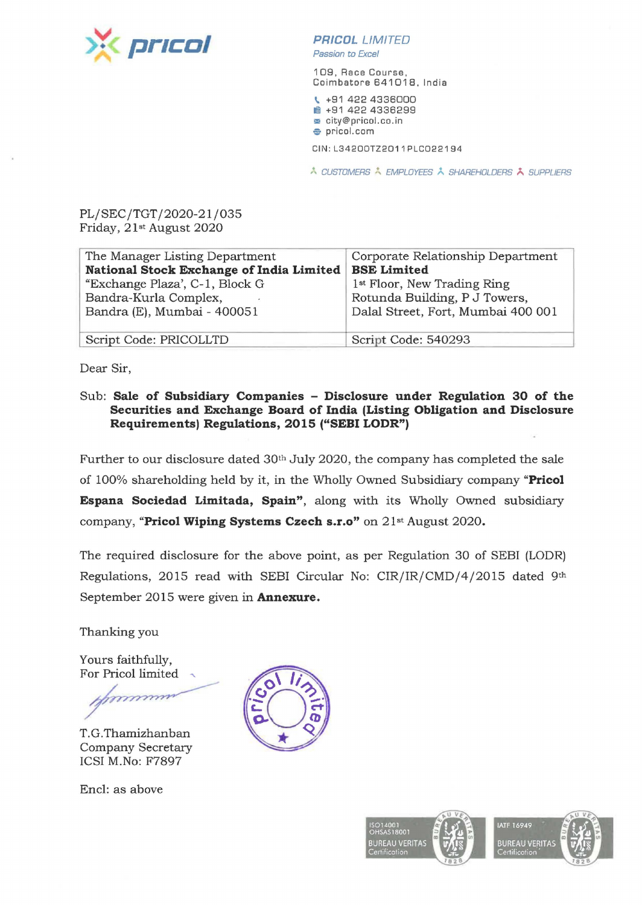

## **PR/COL** LIMITED

Passion ta Excel

109, Race Course , Coimbatore 641018, India

'- +91 422 4336000 **1!11** +91 422 4336299 **m** city@pricol.co.in **e** pricol.com

CIN : L3420DTZ2011PLCD22194

A CUSTOMERS A EMPLOYEES A SHAREHOLDERS A SUPPLIERS

PL/SEC/TGT/2020-21/035 Friday, 21st August 2020

| The Manager Listing Department           | Corporate Relationship Department       |  |
|------------------------------------------|-----------------------------------------|--|
| National Stock Exchange of India Limited | <b>BSE Limited</b>                      |  |
| "Exchange Plaza", C-1, Block G           | 1 <sup>st</sup> Floor, New Trading Ring |  |
| Bandra-Kurla Complex,                    | Rotunda Building, P J Towers,           |  |
| Bandra (E), Mumbai - 400051              | Dalal Street, Fort, Mumbai 400 001      |  |
|                                          |                                         |  |
| Script Code: PRICOLLTD                   | Script Code: 540293                     |  |

Dear Sir,

Sub: **Sale of Subsidiary Companies - Disclosure under Regulation 30 of the Securities and Exchange Board of India (Listing Obligation and Disclosure Requirements) Regulations, 2015 ("SEBI LODR")** 

Further to our disclosure dated 30th July 2020, the company has completed the sale of 100% shareholding held by it, in the Wholly Owned Subsidiary company **"Pricol Espana Sociedad Limitada, Spain",** along with its Wholly Owned subsidiary company, **"Pricol Wiping Systems Czech s.r.o"** on 21st August 2020.

The required disclosure for the above point, as per Regulation 30 of SEBI (LODR) Regulations, 2015 read with SEBI Circular No: CIR/IR/CMD/4/2015 dated 9th September 2015 were given in **Annexure.** 

Thanking you

Yours faithfully, For Pricol limited ,

T.G.Thamizhanban Company Secretary ICSI M.No: F7897

Encl: as above